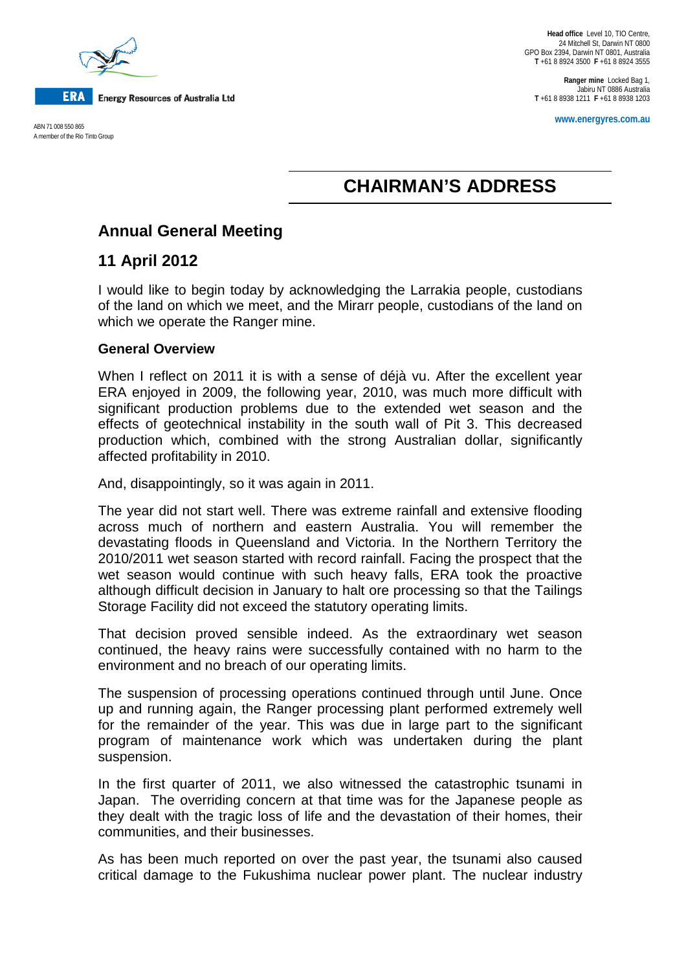

**www.energyres.com.au** ABN 71 008 550 865 A member of the Rio Tinto Group

**Head office** Level 10, TIO Centre, 24 Mitchell St, Darwin NT 0800 GPO Box 2394, Darwin NT 0801, Australia **T** +61 8 8924 3500 **F** +61 8 8924 3555

**Ranger mine** Locked Bag 1, Jabiru NT 0886 Australia **T** +61 8 8938 1211 **F** +61 8 8938 1203

# **CHAIRMAN'S ADDRESS**

## **Annual General Meeting**

### **11 April 2012**

I would like to begin today by acknowledging the Larrakia people, custodians of the land on which we meet, and the Mirarr people, custodians of the land on which we operate the Ranger mine.

#### **General Overview**

When I reflect on 2011 it is with a sense of déjà vu. After the excellent year ERA enjoyed in 2009, the following year, 2010, was much more difficult with significant production problems due to the extended wet season and the effects of geotechnical instability in the south wall of Pit 3. This decreased production which, combined with the strong Australian dollar, significantly affected profitability in 2010.

And, disappointingly, so it was again in 2011.

The year did not start well. There was extreme rainfall and extensive flooding across much of northern and eastern Australia. You will remember the devastating floods in Queensland and Victoria. In the Northern Territory the 2010/2011 wet season started with record rainfall. Facing the prospect that the wet season would continue with such heavy falls, ERA took the proactive although difficult decision in January to halt ore processing so that the Tailings Storage Facility did not exceed the statutory operating limits.

That decision proved sensible indeed. As the extraordinary wet season continued, the heavy rains were successfully contained with no harm to the environment and no breach of our operating limits.

The suspension of processing operations continued through until June. Once up and running again, the Ranger processing plant performed extremely well for the remainder of the year. This was due in large part to the significant program of maintenance work which was undertaken during the plant suspension.

In the first quarter of 2011, we also witnessed the catastrophic tsunami in Japan. The overriding concern at that time was for the Japanese people as they dealt with the tragic loss of life and the devastation of their homes, their communities, and their businesses.

As has been much reported on over the past year, the tsunami also caused critical damage to the Fukushima nuclear power plant. The nuclear industry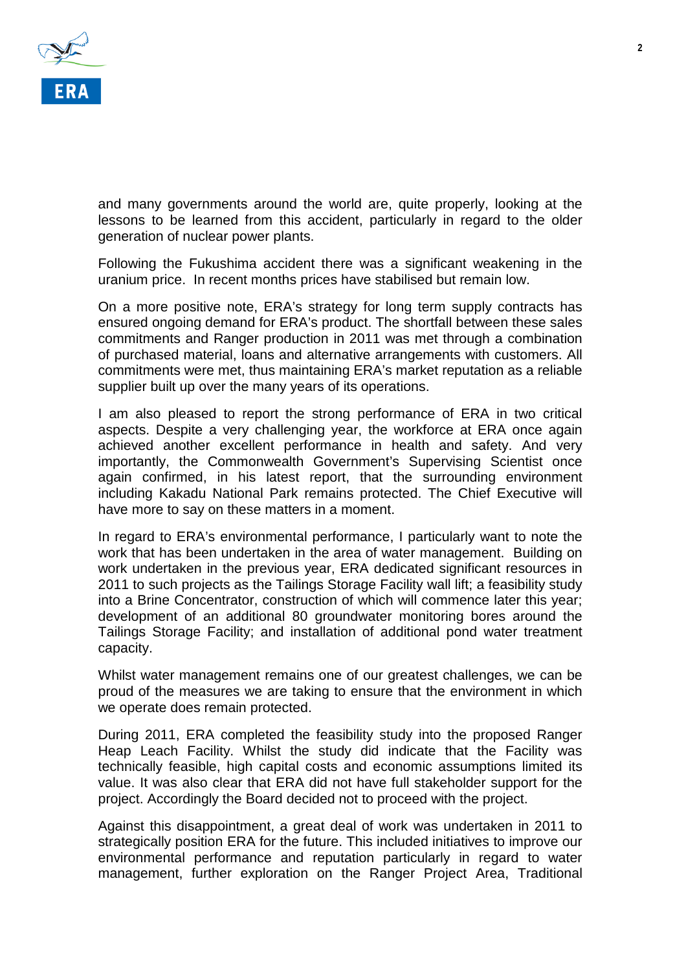

and many governments around the world are, quite properly, looking at the lessons to be learned from this accident, particularly in regard to the older generation of nuclear power plants.

Following the Fukushima accident there was a significant weakening in the uranium price. In recent months prices have stabilised but remain low.

On a more positive note, ERA's strategy for long term supply contracts has ensured ongoing demand for ERA's product. The shortfall between these sales commitments and Ranger production in 2011 was met through a combination of purchased material, loans and alternative arrangements with customers. All commitments were met, thus maintaining ERA's market reputation as a reliable supplier built up over the many years of its operations.

I am also pleased to report the strong performance of ERA in two critical aspects. Despite a very challenging year, the workforce at ERA once again achieved another excellent performance in health and safety. And very importantly, the Commonwealth Government's Supervising Scientist once again confirmed, in his latest report, that the surrounding environment including Kakadu National Park remains protected. The Chief Executive will have more to say on these matters in a moment.

In regard to ERA's environmental performance, I particularly want to note the work that has been undertaken in the area of water management. Building on work undertaken in the previous year, ERA dedicated significant resources in 2011 to such projects as the Tailings Storage Facility wall lift; a feasibility study into a Brine Concentrator, construction of which will commence later this year; development of an additional 80 groundwater monitoring bores around the Tailings Storage Facility; and installation of additional pond water treatment capacity.

Whilst water management remains one of our greatest challenges, we can be proud of the measures we are taking to ensure that the environment in which we operate does remain protected.

During 2011, ERA completed the feasibility study into the proposed Ranger Heap Leach Facility. Whilst the study did indicate that the Facility was technically feasible, high capital costs and economic assumptions limited its value. It was also clear that ERA did not have full stakeholder support for the project. Accordingly the Board decided not to proceed with the project.

Against this disappointment, a great deal of work was undertaken in 2011 to strategically position ERA for the future. This included initiatives to improve our environmental performance and reputation particularly in regard to water management, further exploration on the Ranger Project Area, Traditional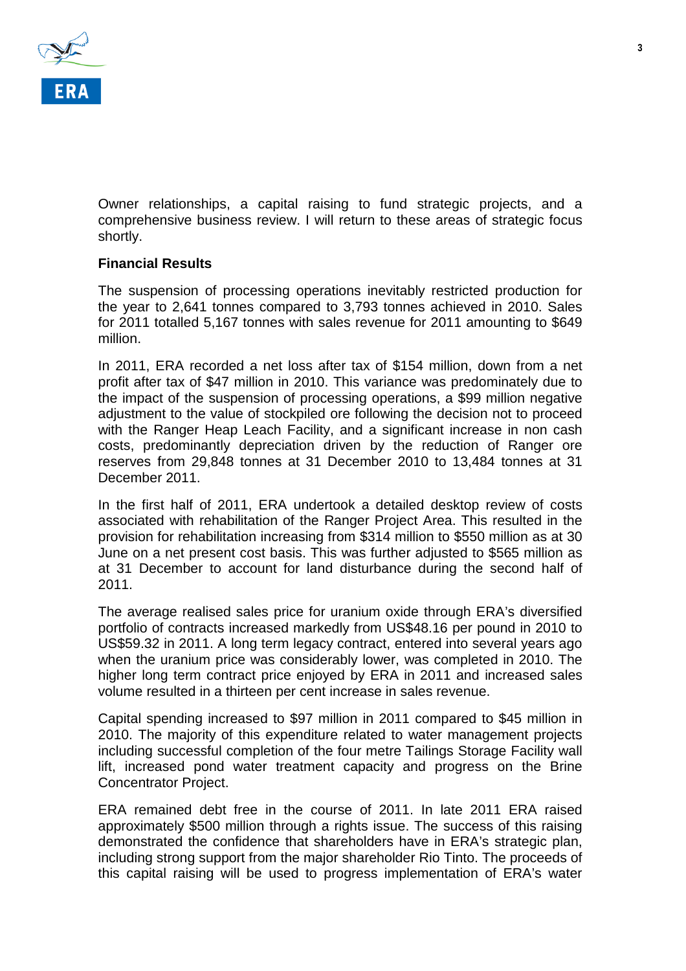

Owner relationships, a capital raising to fund strategic projects, and a comprehensive business review. I will return to these areas of strategic focus shortly.

#### **Financial Results**

The suspension of processing operations inevitably restricted production for the year to 2,641 tonnes compared to 3,793 tonnes achieved in 2010. Sales for 2011 totalled 5,167 tonnes with sales revenue for 2011 amounting to \$649 million.

In 2011, ERA recorded a net loss after tax of \$154 million, down from a net profit after tax of \$47 million in 2010. This variance was predominately due to the impact of the suspension of processing operations, a \$99 million negative adjustment to the value of stockpiled ore following the decision not to proceed with the Ranger Heap Leach Facility, and a significant increase in non cash costs, predominantly depreciation driven by the reduction of Ranger ore reserves from 29,848 tonnes at 31 December 2010 to 13,484 tonnes at 31 December 2011.

In the first half of 2011, ERA undertook a detailed desktop review of costs associated with rehabilitation of the Ranger Project Area. This resulted in the provision for rehabilitation increasing from \$314 million to \$550 million as at 30 June on a net present cost basis. This was further adjusted to \$565 million as at 31 December to account for land disturbance during the second half of 2011.

The average realised sales price for uranium oxide through ERA's diversified portfolio of contracts increased markedly from US\$48.16 per pound in 2010 to US\$59.32 in 2011. A long term legacy contract, entered into several years ago when the uranium price was considerably lower, was completed in 2010. The higher long term contract price enjoyed by ERA in 2011 and increased sales volume resulted in a thirteen per cent increase in sales revenue.

Capital spending increased to \$97 million in 2011 compared to \$45 million in 2010. The majority of this expenditure related to water management projects including successful completion of the four metre Tailings Storage Facility wall lift, increased pond water treatment capacity and progress on the Brine Concentrator Project.

ERA remained debt free in the course of 2011. In late 2011 ERA raised approximately \$500 million through a rights issue. The success of this raising demonstrated the confidence that shareholders have in ERA's strategic plan, including strong support from the major shareholder Rio Tinto. The proceeds of this capital raising will be used to progress implementation of ERA's water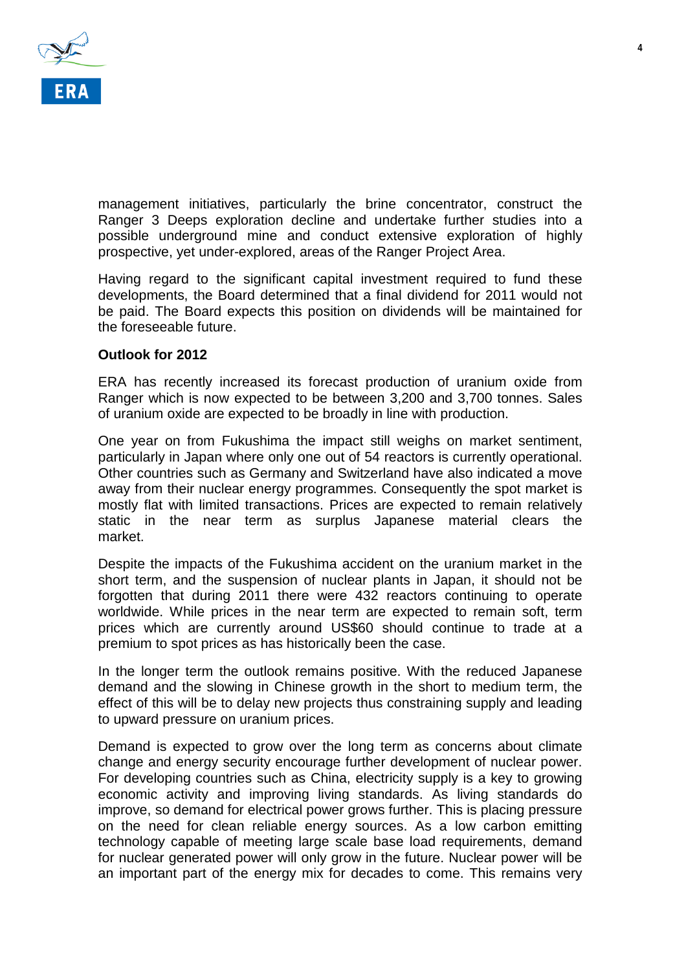

management initiatives, particularly the brine concentrator, construct the Ranger 3 Deeps exploration decline and undertake further studies into a possible underground mine and conduct extensive exploration of highly prospective, yet under-explored, areas of the Ranger Project Area.

Having regard to the significant capital investment required to fund these developments, the Board determined that a final dividend for 2011 would not be paid. The Board expects this position on dividends will be maintained for the foreseeable future.

#### **Outlook for 2012**

ERA has recently increased its forecast production of uranium oxide from Ranger which is now expected to be between 3,200 and 3,700 tonnes. Sales of uranium oxide are expected to be broadly in line with production.

One year on from Fukushima the impact still weighs on market sentiment, particularly in Japan where only one out of 54 reactors is currently operational. Other countries such as Germany and Switzerland have also indicated a move away from their nuclear energy programmes. Consequently the spot market is mostly flat with limited transactions. Prices are expected to remain relatively static in the near term as surplus Japanese material clears the market.

Despite the impacts of the Fukushima accident on the uranium market in the short term, and the suspension of nuclear plants in Japan, it should not be forgotten that during 2011 there were 432 reactors continuing to operate worldwide. While prices in the near term are expected to remain soft, term prices which are currently around US\$60 should continue to trade at a premium to spot prices as has historically been the case.

In the longer term the outlook remains positive. With the reduced Japanese demand and the slowing in Chinese growth in the short to medium term, the effect of this will be to delay new projects thus constraining supply and leading to upward pressure on uranium prices.

Demand is expected to grow over the long term as concerns about climate change and energy security encourage further development of nuclear power. For developing countries such as China, electricity supply is a key to growing economic activity and improving living standards. As living standards do improve, so demand for electrical power grows further. This is placing pressure on the need for clean reliable energy sources. As a low carbon emitting technology capable of meeting large scale base load requirements, demand for nuclear generated power will only grow in the future. Nuclear power will be an important part of the energy mix for decades to come. This remains very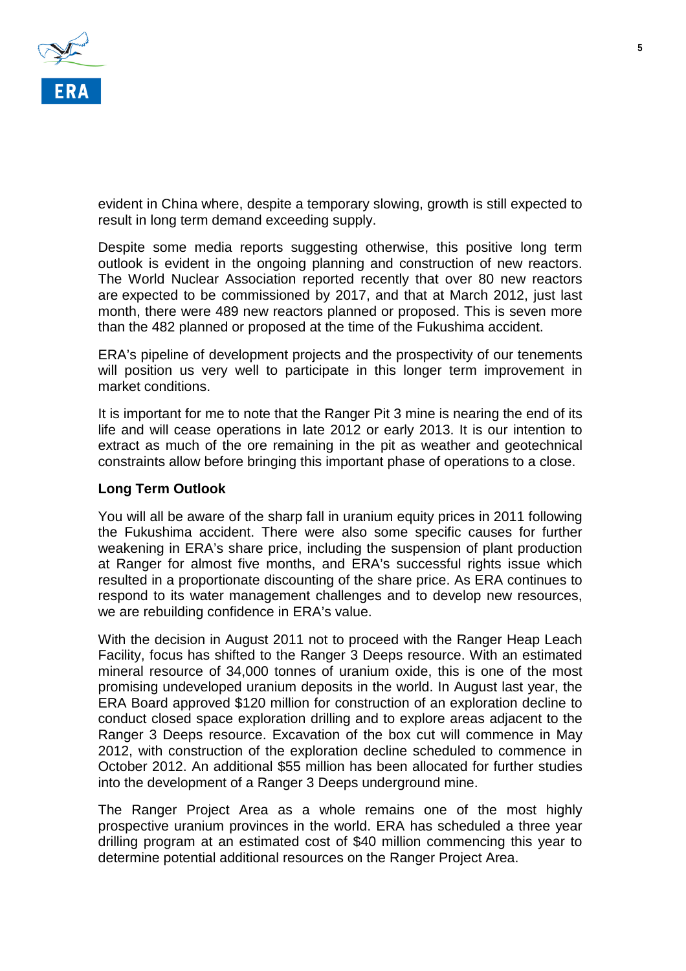

evident in China where, despite a temporary slowing, growth is still expected to result in long term demand exceeding supply.

Despite some media reports suggesting otherwise, this positive long term outlook is evident in the ongoing planning and construction of new reactors. The World Nuclear Association reported recently that over 80 new reactors are expected to be commissioned by 2017, and that at March 2012, just last month, there were 489 new reactors planned or proposed. This is seven more than the 482 planned or proposed at the time of the Fukushima accident.

ERA's pipeline of development projects and the prospectivity of our tenements will position us very well to participate in this longer term improvement in market conditions.

It is important for me to note that the Ranger Pit 3 mine is nearing the end of its life and will cease operations in late 2012 or early 2013. It is our intention to extract as much of the ore remaining in the pit as weather and geotechnical constraints allow before bringing this important phase of operations to a close.

#### **Long Term Outlook**

You will all be aware of the sharp fall in uranium equity prices in 2011 following the Fukushima accident. There were also some specific causes for further weakening in ERA's share price, including the suspension of plant production at Ranger for almost five months, and ERA's successful rights issue which resulted in a proportionate discounting of the share price. As ERA continues to respond to its water management challenges and to develop new resources, we are rebuilding confidence in ERA's value.

With the decision in August 2011 not to proceed with the Ranger Heap Leach Facility, focus has shifted to the Ranger 3 Deeps resource. With an estimated mineral resource of 34,000 tonnes of uranium oxide, this is one of the most promising undeveloped uranium deposits in the world. In August last year, the ERA Board approved \$120 million for construction of an exploration decline to conduct closed space exploration drilling and to explore areas adjacent to the Ranger 3 Deeps resource. Excavation of the box cut will commence in May 2012, with construction of the exploration decline scheduled to commence in October 2012. An additional \$55 million has been allocated for further studies into the development of a Ranger 3 Deeps underground mine.

The Ranger Project Area as a whole remains one of the most highly prospective uranium provinces in the world. ERA has scheduled a three year drilling program at an estimated cost of \$40 million commencing this year to determine potential additional resources on the Ranger Project Area.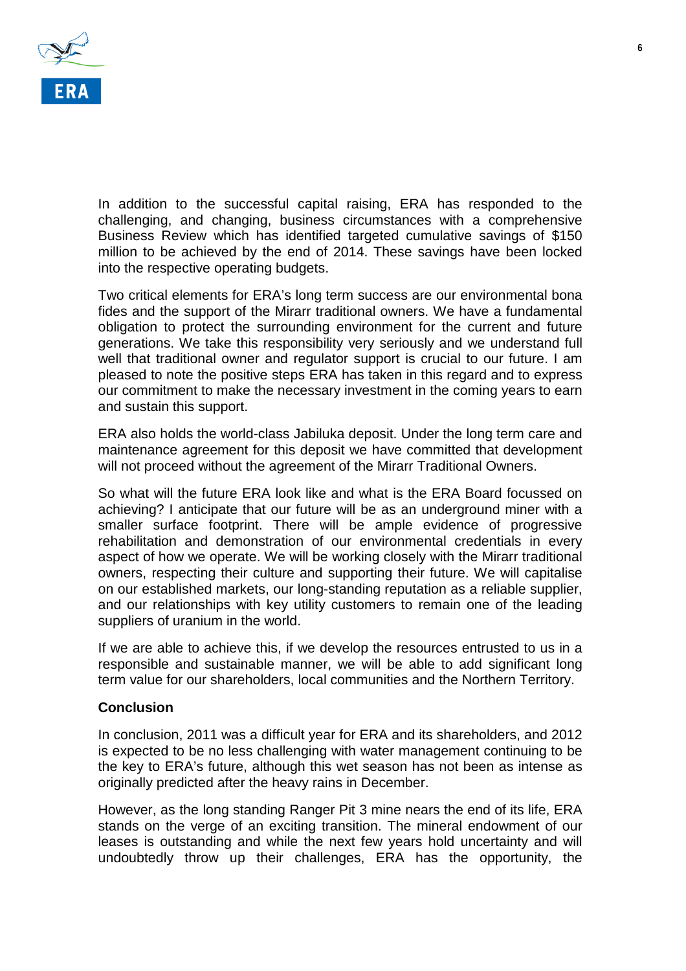

In addition to the successful capital raising, ERA has responded to the challenging, and changing, business circumstances with a comprehensive Business Review which has identified targeted cumulative savings of \$150 million to be achieved by the end of 2014. These savings have been locked into the respective operating budgets.

Two critical elements for ERA's long term success are our environmental bona fides and the support of the Mirarr traditional owners. We have a fundamental obligation to protect the surrounding environment for the current and future generations. We take this responsibility very seriously and we understand full well that traditional owner and regulator support is crucial to our future. I am pleased to note the positive steps ERA has taken in this regard and to express our commitment to make the necessary investment in the coming years to earn and sustain this support.

ERA also holds the world-class Jabiluka deposit. Under the long term care and maintenance agreement for this deposit we have committed that development will not proceed without the agreement of the Mirarr Traditional Owners.

So what will the future ERA look like and what is the ERA Board focussed on achieving? I anticipate that our future will be as an underground miner with a smaller surface footprint. There will be ample evidence of progressive rehabilitation and demonstration of our environmental credentials in every aspect of how we operate. We will be working closely with the Mirarr traditional owners, respecting their culture and supporting their future. We will capitalise on our established markets, our long-standing reputation as a reliable supplier, and our relationships with key utility customers to remain one of the leading suppliers of uranium in the world.

If we are able to achieve this, if we develop the resources entrusted to us in a responsible and sustainable manner, we will be able to add significant long term value for our shareholders, local communities and the Northern Territory.

#### **Conclusion**

In conclusion, 2011 was a difficult year for ERA and its shareholders, and 2012 is expected to be no less challenging with water management continuing to be the key to ERA's future, although this wet season has not been as intense as originally predicted after the heavy rains in December.

However, as the long standing Ranger Pit 3 mine nears the end of its life, ERA stands on the verge of an exciting transition. The mineral endowment of our leases is outstanding and while the next few years hold uncertainty and will undoubtedly throw up their challenges, ERA has the opportunity, the